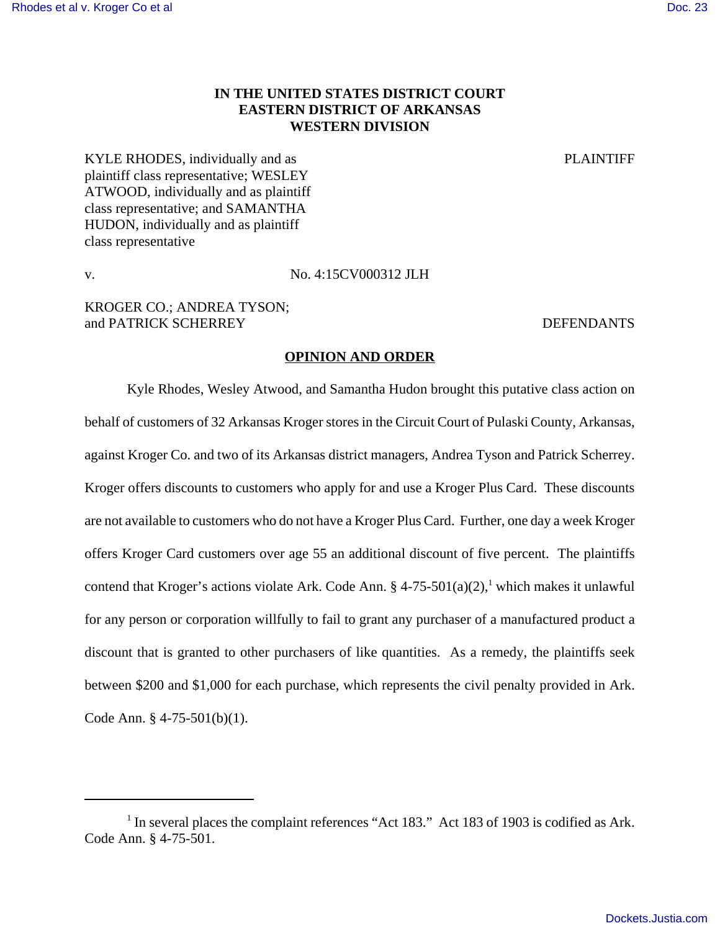# **IN THE UNITED STATES DISTRICT COURT EASTERN DISTRICT OF ARKANSAS WESTERN DIVISION**

KYLE RHODES, individually and as **PLAINTIFF** plaintiff class representative; WESLEY ATWOOD, individually and as plaintiff class representative; and SAMANTHA HUDON, individually and as plaintiff class representative

v. No. 4:15CV000312 JLH

KROGER CO.; ANDREA TYSON; and PATRICK SCHERREY **DEFENDANTS** 

#### **OPINION AND ORDER**

Kyle Rhodes, Wesley Atwood, and Samantha Hudon brought this putative class action on behalf of customers of 32 Arkansas Kroger stores in the Circuit Court of Pulaski County, Arkansas, against Kroger Co. and two of its Arkansas district managers, Andrea Tyson and Patrick Scherrey. Kroger offers discounts to customers who apply for and use a Kroger Plus Card. These discounts are not available to customers who do not have a Kroger Plus Card. Further, one day a week Kroger offers Kroger Card customers over age 55 an additional discount of five percent. The plaintiffs contend that Kroger's actions violate Ark. Code Ann. § 4-75-501(a)(2),<sup>1</sup> which makes it unlawful for any person or corporation willfully to fail to grant any purchaser of a manufactured product a discount that is granted to other purchasers of like quantities. As a remedy, the plaintiffs seek between \$200 and \$1,000 for each purchase, which represents the civil penalty provided in Ark. Code Ann. § 4-75-501(b)(1).

<sup>&</sup>lt;sup>1</sup> In several places the complaint references "Act 183." Act 183 of 1903 is codified as Ark. Code Ann. § 4-75-501.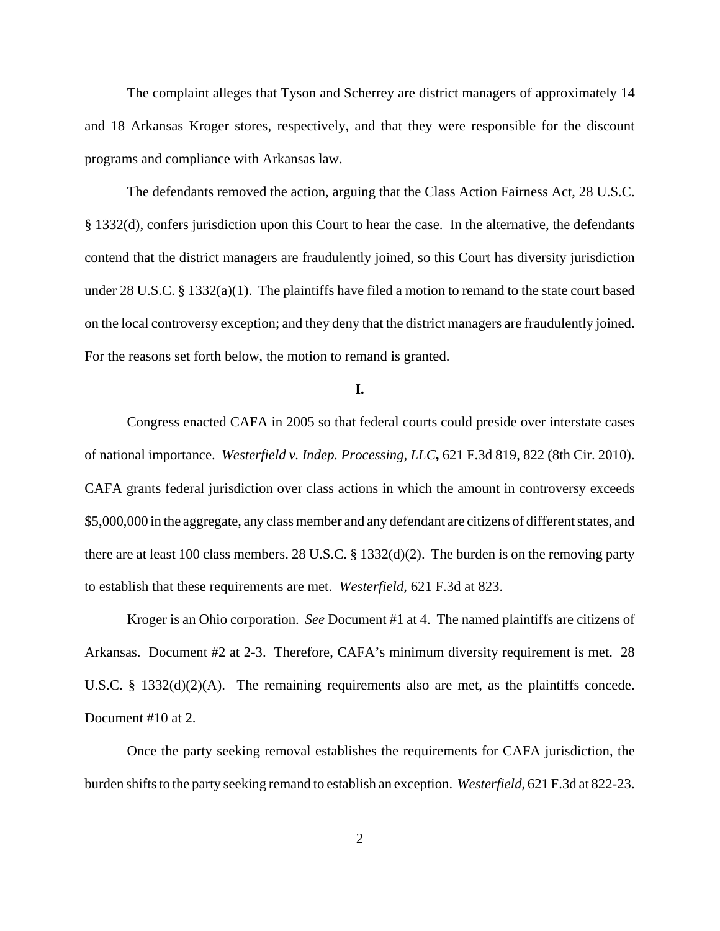The complaint alleges that Tyson and Scherrey are district managers of approximately 14 and 18 Arkansas Kroger stores, respectively, and that they were responsible for the discount programs and compliance with Arkansas law.

The defendants removed the action, arguing that the Class Action Fairness Act, 28 U.S.C. § 1332(d), confers jurisdiction upon this Court to hear the case. In the alternative, the defendants contend that the district managers are fraudulently joined, so this Court has diversity jurisdiction under 28 U.S.C. § 1332(a)(1). The plaintiffs have filed a motion to remand to the state court based on the local controversy exception; and they deny that the district managers are fraudulently joined. For the reasons set forth below, the motion to remand is granted.

## **I.**

Congress enacted CAFA in 2005 so that federal courts could preside over interstate cases of national importance. *Westerfield v. Indep. Processing, LLC***,** 621 F.3d 819, 822 (8th Cir. 2010). CAFA grants federal jurisdiction over class actions in which the amount in controversy exceeds \$5,000,000 in the aggregate, any class member and any defendant are citizens of different states, and there are at least 100 class members. 28 U.S.C. § 1332(d)(2). The burden is on the removing party to establish that these requirements are met. *Westerfield,* 621 F.3d at 823.

Kroger is an Ohio corporation. *See* Document #1 at 4. The named plaintiffs are citizens of Arkansas. Document #2 at 2-3. Therefore, CAFA's minimum diversity requirement is met. 28 U.S.C. § 1332(d)(2)(A). The remaining requirements also are met, as the plaintiffs concede. Document #10 at 2.

Once the party seeking removal establishes the requirements for CAFA jurisdiction, the burden shifts to the party seeking remand to establish an exception. *Westerfield*, 621 F.3d at 822-23.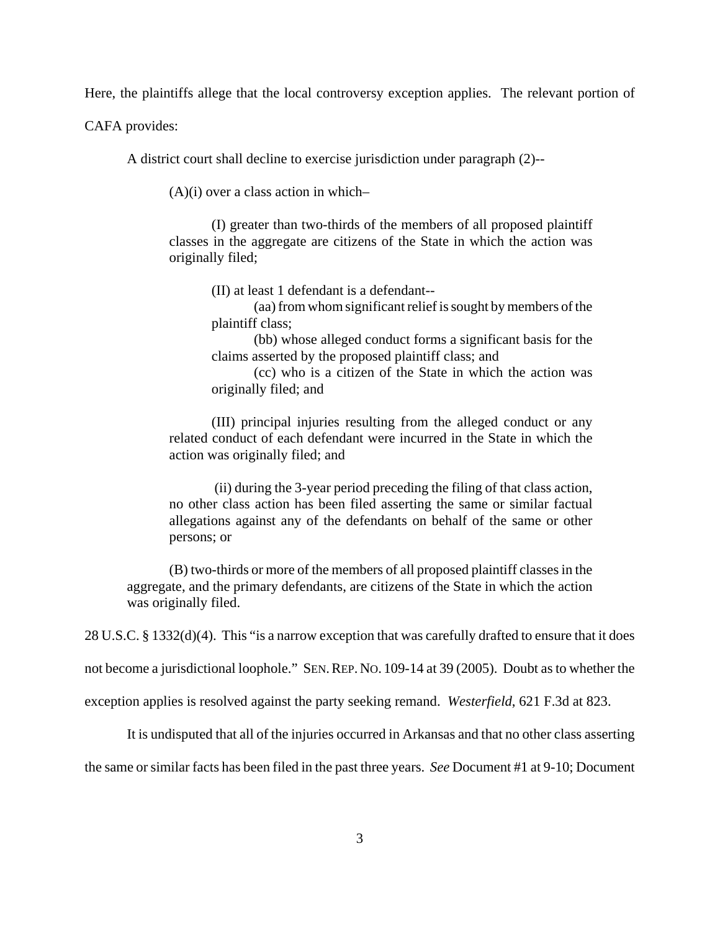Here, the plaintiffs allege that the local controversy exception applies. The relevant portion of

CAFA provides:

A district court shall decline to exercise jurisdiction under paragraph (2)--

 $(A)(i)$  over a class action in which-

(I) greater than two-thirds of the members of all proposed plaintiff classes in the aggregate are citizens of the State in which the action was originally filed;

(II) at least 1 defendant is a defendant--

(aa) from whom significant relief is sought by members of the plaintiff class;

(bb) whose alleged conduct forms a significant basis for the claims asserted by the proposed plaintiff class; and

(cc) who is a citizen of the State in which the action was originally filed; and

(III) principal injuries resulting from the alleged conduct or any related conduct of each defendant were incurred in the State in which the action was originally filed; and

 (ii) during the 3-year period preceding the filing of that class action, no other class action has been filed asserting the same or similar factual allegations against any of the defendants on behalf of the same or other persons; or

(B) two-thirds or more of the members of all proposed plaintiff classes in the aggregate, and the primary defendants, are citizens of the State in which the action was originally filed.

28 U.S.C. § 1332(d)(4). This "is a narrow exception that was carefully drafted to ensure that it does

not become a jurisdictional loophole." SEN.REP. NO. 109-14 at 39 (2005). Doubt as to whether the

exception applies is resolved against the party seeking remand. *Westerfield*, 621 F.3d at 823.

It is undisputed that all of the injuries occurred in Arkansas and that no other class asserting

the same or similar facts has been filed in the past three years. *See* Document #1 at 9-10; Document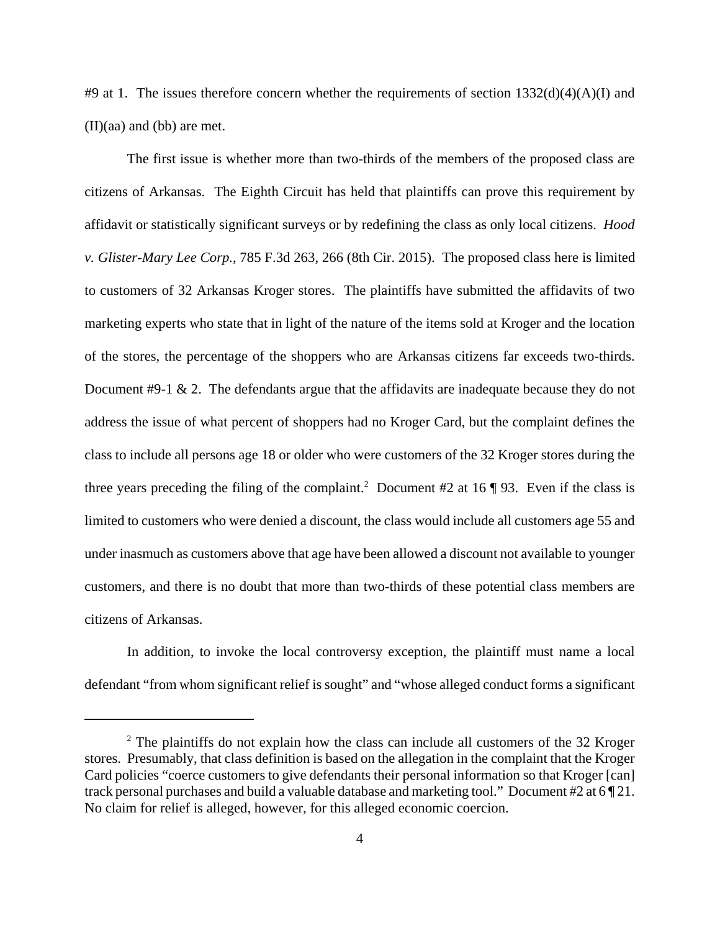#9 at 1. The issues therefore concern whether the requirements of section  $1332(d)(4)(A)(I)$  and (II)(aa) and (bb) are met.

The first issue is whether more than two-thirds of the members of the proposed class are citizens of Arkansas. The Eighth Circuit has held that plaintiffs can prove this requirement by affidavit or statistically significant surveys or by redefining the class as only local citizens. *Hood v. Glister-Mary Lee Corp.*, 785 F.3d 263, 266 (8th Cir. 2015). The proposed class here is limited to customers of 32 Arkansas Kroger stores. The plaintiffs have submitted the affidavits of two marketing experts who state that in light of the nature of the items sold at Kroger and the location of the stores, the percentage of the shoppers who are Arkansas citizens far exceeds two-thirds. Document #9-1 & 2. The defendants argue that the affidavits are inadequate because they do not address the issue of what percent of shoppers had no Kroger Card, but the complaint defines the class to include all persons age 18 or older who were customers of the 32 Kroger stores during the three years preceding the filing of the complaint.<sup>2</sup> Document #2 at 16  $\P$  93. Even if the class is limited to customers who were denied a discount, the class would include all customers age 55 and under inasmuch as customers above that age have been allowed a discount not available to younger customers, and there is no doubt that more than two-thirds of these potential class members are citizens of Arkansas.

In addition, to invoke the local controversy exception, the plaintiff must name a local defendant "from whom significant relief is sought" and "whose alleged conduct forms a significant

<sup>&</sup>lt;sup>2</sup> The plaintiffs do not explain how the class can include all customers of the 32 Kroger stores. Presumably, that class definition is based on the allegation in the complaint that the Kroger Card policies "coerce customers to give defendants their personal information so that Kroger [can] track personal purchases and build a valuable database and marketing tool." Document #2 at 6 ¶ 21. No claim for relief is alleged, however, for this alleged economic coercion.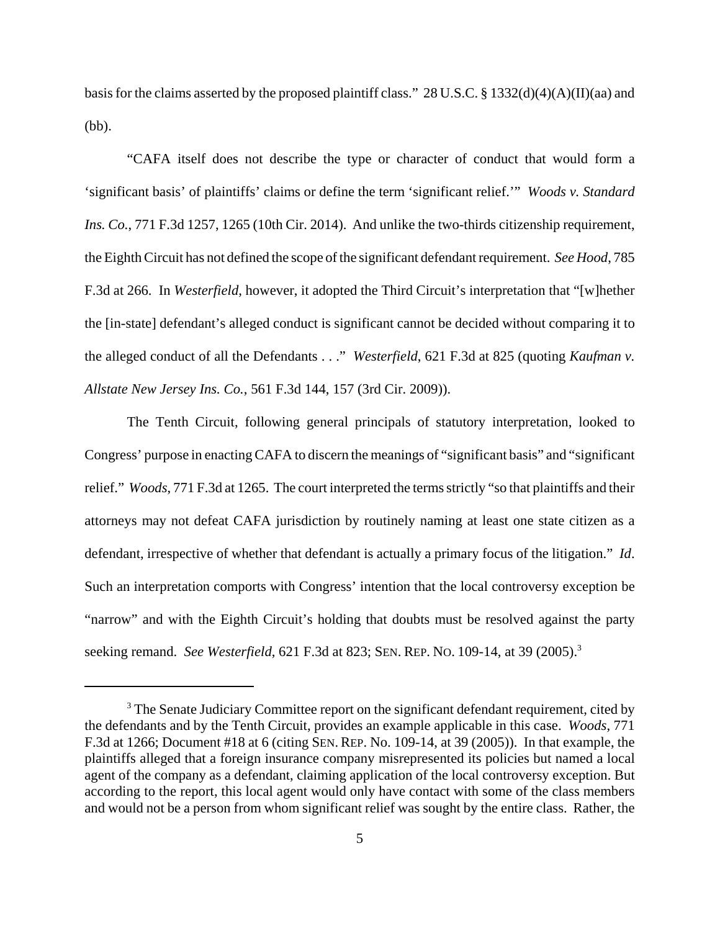basis for the claims asserted by the proposed plaintiff class." 28 U.S.C. § 1332(d)(4)(A)(II)(aa) and (bb).

"CAFA itself does not describe the type or character of conduct that would form a 'significant basis' of plaintiffs' claims or define the term 'significant relief.'" *Woods v. Standard Ins. Co.*, 771 F.3d 1257, 1265 (10th Cir. 2014). And unlike the two-thirds citizenship requirement, the Eighth Circuit has not defined the scope of the significant defendant requirement. *See Hood*, 785 F.3d at 266. In *Westerfield*, however, it adopted the Third Circuit's interpretation that "[w]hether the [in-state] defendant's alleged conduct is significant cannot be decided without comparing it to the alleged conduct of all the Defendants . . ." *Westerfield*, 621 F.3d at 825 (quoting *Kaufman v. Allstate New Jersey Ins. Co.*, 561 F.3d 144, 157 (3rd Cir. 2009)).

The Tenth Circuit, following general principals of statutory interpretation, looked to Congress' purpose in enacting CAFA to discern the meanings of "significant basis" and "significant relief." *Woods*, 771 F.3d at 1265. The court interpreted the terms strictly "so that plaintiffs and their attorneys may not defeat CAFA jurisdiction by routinely naming at least one state citizen as a defendant, irrespective of whether that defendant is actually a primary focus of the litigation." *Id*. Such an interpretation comports with Congress' intention that the local controversy exception be "narrow" and with the Eighth Circuit's holding that doubts must be resolved against the party seeking remand. *See Westerfield*, 621 F.3d at 823; SEN. REP. NO. 109-14, at 39 (2005).<sup>3</sup>

 $3$  The Senate Judiciary Committee report on the significant defendant requirement, cited by the defendants and by the Tenth Circuit, provides an example applicable in this case. *Woods*, 771 F.3d at 1266; Document #18 at 6 (citing SEN. REP. No. 109-14, at 39 (2005)). In that example, the plaintiffs alleged that a foreign insurance company misrepresented its policies but named a local agent of the company as a defendant, claiming application of the local controversy exception. But according to the report, this local agent would only have contact with some of the class members and would not be a person from whom significant relief was sought by the entire class. Rather, the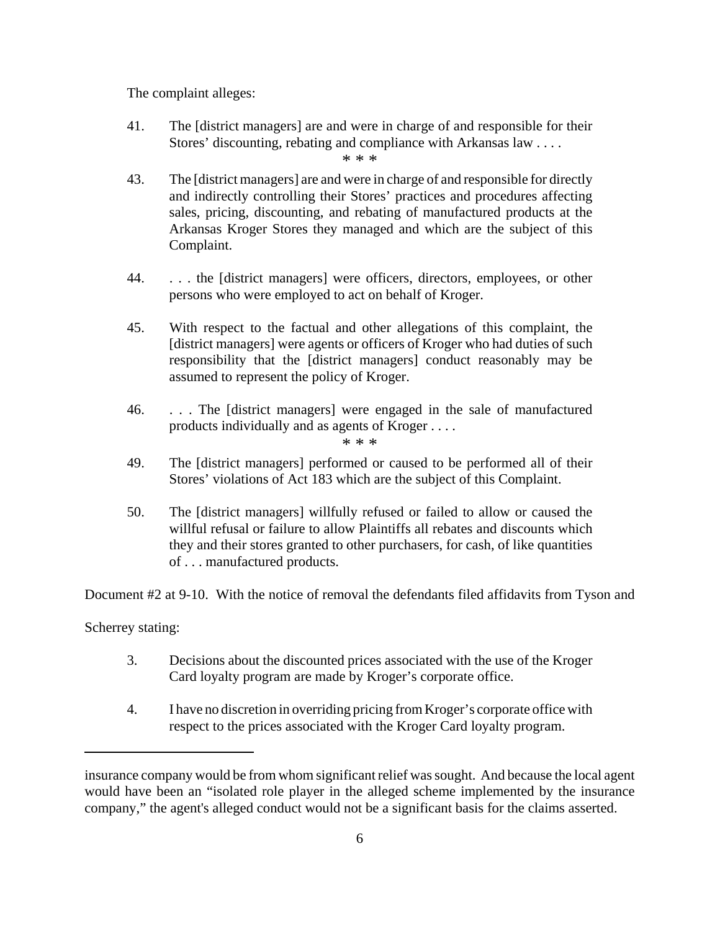The complaint alleges:

41. The [district managers] are and were in charge of and responsible for their Stores' discounting, rebating and compliance with Arkansas law . . . .

\* \* \*

- 43. The [district managers] are and were in charge of and responsible for directly and indirectly controlling their Stores' practices and procedures affecting sales, pricing, discounting, and rebating of manufactured products at the Arkansas Kroger Stores they managed and which are the subject of this Complaint.
- 44. . . . the [district managers] were officers, directors, employees, or other persons who were employed to act on behalf of Kroger.
- 45. With respect to the factual and other allegations of this complaint, the [district managers] were agents or officers of Kroger who had duties of such responsibility that the [district managers] conduct reasonably may be assumed to represent the policy of Kroger.
- 46. . . . The [district managers] were engaged in the sale of manufactured products individually and as agents of Kroger . . . .

\* \* \*

- 49. The [district managers] performed or caused to be performed all of their Stores' violations of Act 183 which are the subject of this Complaint.
- 50. The [district managers] willfully refused or failed to allow or caused the willful refusal or failure to allow Plaintiffs all rebates and discounts which they and their stores granted to other purchasers, for cash, of like quantities of . . . manufactured products.

Document #2 at 9-10. With the notice of removal the defendants filed affidavits from Tyson and

Scherrey stating:

- 3. Decisions about the discounted prices associated with the use of the Kroger Card loyalty program are made by Kroger's corporate office.
- 4. I have no discretion in overriding pricing from Kroger's corporate office with respect to the prices associated with the Kroger Card loyalty program.

insurance company would be from whom significant relief was sought. And because the local agent would have been an "isolated role player in the alleged scheme implemented by the insurance company," the agent's alleged conduct would not be a significant basis for the claims asserted.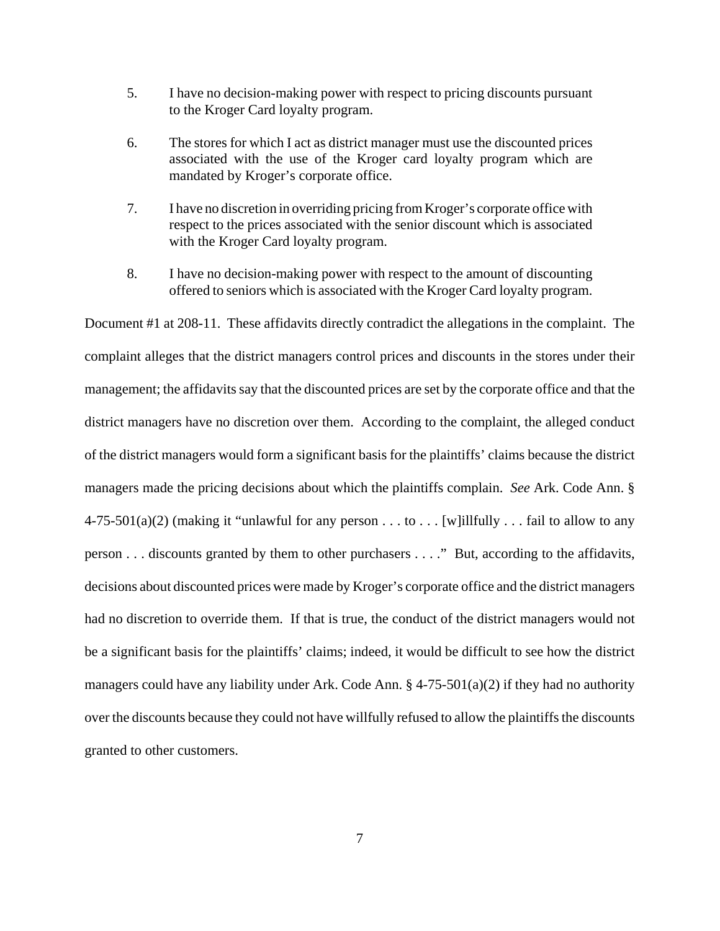- 5. I have no decision-making power with respect to pricing discounts pursuant to the Kroger Card loyalty program.
- 6. The stores for which I act as district manager must use the discounted prices associated with the use of the Kroger card loyalty program which are mandated by Kroger's corporate office.
- 7. I have no discretion in overriding pricing from Kroger's corporate office with respect to the prices associated with the senior discount which is associated with the Kroger Card loyalty program.
- 8. I have no decision-making power with respect to the amount of discounting offered to seniors which is associated with the Kroger Card loyalty program.

Document #1 at 208-11. These affidavits directly contradict the allegations in the complaint. The complaint alleges that the district managers control prices and discounts in the stores under their management; the affidavits say that the discounted prices are set by the corporate office and that the district managers have no discretion over them. According to the complaint, the alleged conduct of the district managers would form a significant basis for the plaintiffs' claims because the district managers made the pricing decisions about which the plaintiffs complain. *See* Ark. Code Ann. §  $4-75-501(a)(2)$  (making it "unlawful for any person . . . to . . . [w]illfully . . . fail to allow to any person . . . discounts granted by them to other purchasers . . . ." But, according to the affidavits, decisions about discounted prices were made by Kroger's corporate office and the district managers had no discretion to override them. If that is true, the conduct of the district managers would not be a significant basis for the plaintiffs' claims; indeed, it would be difficult to see how the district managers could have any liability under Ark. Code Ann. § 4-75-501(a)(2) if they had no authority over the discounts because they could not have willfully refused to allow the plaintiffs the discounts granted to other customers.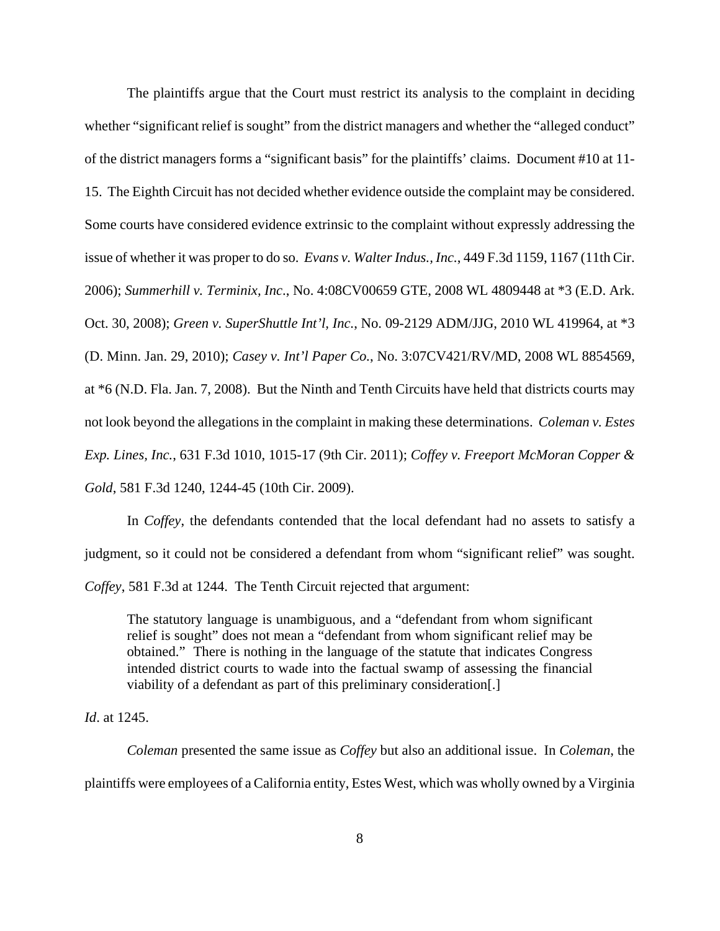The plaintiffs argue that the Court must restrict its analysis to the complaint in deciding whether "significant relief is sought" from the district managers and whether the "alleged conduct" of the district managers forms a "significant basis" for the plaintiffs' claims. Document #10 at 11- 15. The Eighth Circuit has not decided whether evidence outside the complaint may be considered. Some courts have considered evidence extrinsic to the complaint without expressly addressing the issue of whether it was proper to do so. *Evans v. Walter Indus., Inc.*, 449 F.3d 1159, 1167 (11th Cir. 2006); *Summerhill v. Terminix, Inc*., No. 4:08CV00659 GTE, 2008 WL 4809448 at \*3 (E.D. Ark. Oct. 30, 2008); *Green v. SuperShuttle Int'l, Inc.*, No. 09-2129 ADM/JJG, 2010 WL 419964, at \*3 (D. Minn. Jan. 29, 2010); *Casey v. Int'l Paper Co.*, No. 3:07CV421/RV/MD, 2008 WL 8854569, at \*6 (N.D. Fla. Jan. 7, 2008). But the Ninth and Tenth Circuits have held that districts courts may not look beyond the allegations in the complaint in making these determinations. *Coleman v. Estes Exp. Lines, Inc.*, 631 F.3d 1010, 1015-17 (9th Cir. 2011); *Coffey v. Freeport McMoran Copper & Gold*, 581 F.3d 1240, 1244-45 (10th Cir. 2009).

In *Coffey*, the defendants contended that the local defendant had no assets to satisfy a judgment, so it could not be considered a defendant from whom "significant relief" was sought. *Coffey*, 581 F.3d at 1244. The Tenth Circuit rejected that argument:

The statutory language is unambiguous, and a "defendant from whom significant relief is sought" does not mean a "defendant from whom significant relief may be obtained." There is nothing in the language of the statute that indicates Congress intended district courts to wade into the factual swamp of assessing the financial viability of a defendant as part of this preliminary consideration[.]

*Id*. at 1245.

*Coleman* presented the same issue as *Coffey* but also an additional issue. In *Coleman*, the plaintiffs were employees of a California entity, Estes West, which was wholly owned by a Virginia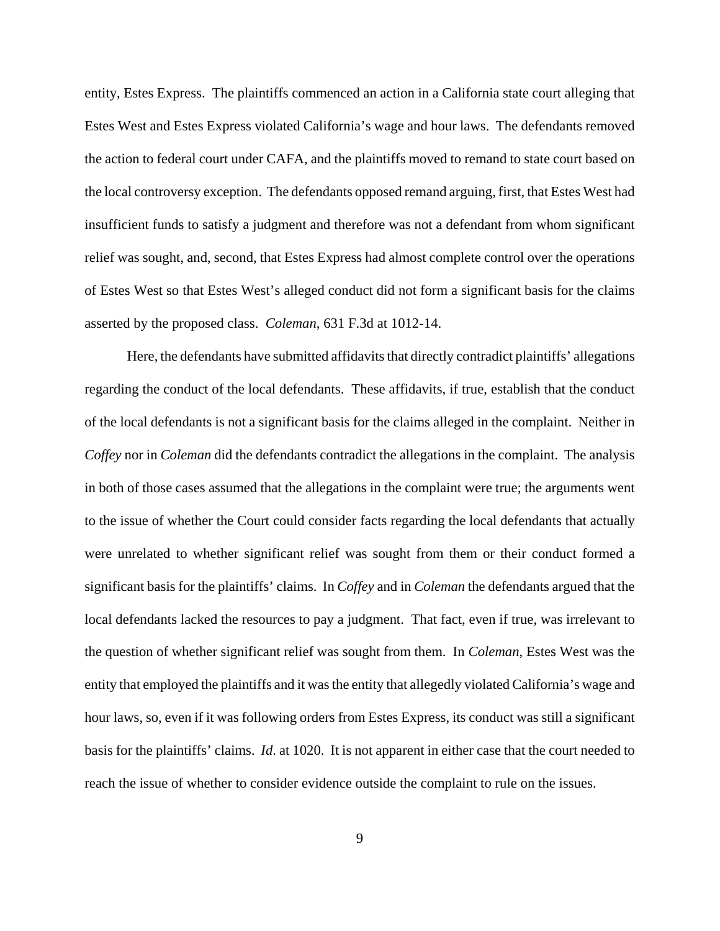entity, Estes Express. The plaintiffs commenced an action in a California state court alleging that Estes West and Estes Express violated California's wage and hour laws. The defendants removed the action to federal court under CAFA, and the plaintiffs moved to remand to state court based on the local controversy exception. The defendants opposed remand arguing, first, that Estes West had insufficient funds to satisfy a judgment and therefore was not a defendant from whom significant relief was sought, and, second, that Estes Express had almost complete control over the operations of Estes West so that Estes West's alleged conduct did not form a significant basis for the claims asserted by the proposed class. *Coleman*, 631 F.3d at 1012-14.

Here, the defendants have submitted affidavits that directly contradict plaintiffs' allegations regarding the conduct of the local defendants. These affidavits, if true, establish that the conduct of the local defendants is not a significant basis for the claims alleged in the complaint. Neither in *Coffey* nor in *Coleman* did the defendants contradict the allegations in the complaint. The analysis in both of those cases assumed that the allegations in the complaint were true; the arguments went to the issue of whether the Court could consider facts regarding the local defendants that actually were unrelated to whether significant relief was sought from them or their conduct formed a significant basis for the plaintiffs' claims. In *Coffey* and in *Coleman* the defendants argued that the local defendants lacked the resources to pay a judgment. That fact, even if true, was irrelevant to the question of whether significant relief was sought from them. In *Coleman*, Estes West was the entity that employed the plaintiffs and it was the entity that allegedly violated California's wage and hour laws, so, even if it was following orders from Estes Express, its conduct was still a significant basis for the plaintiffs' claims. *Id*. at 1020. It is not apparent in either case that the court needed to reach the issue of whether to consider evidence outside the complaint to rule on the issues.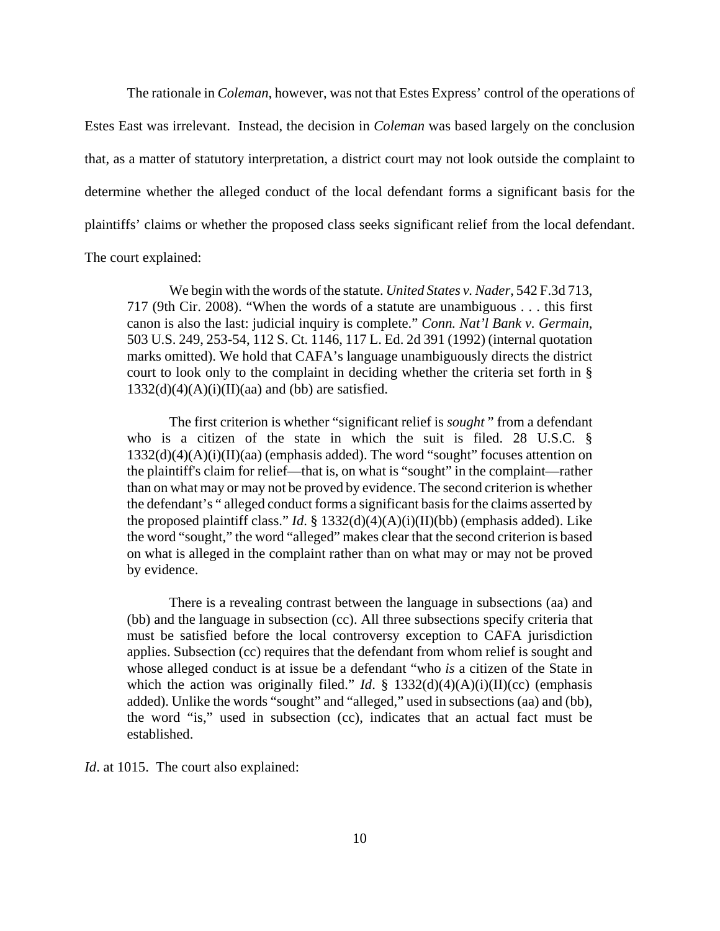The rationale in *Coleman*, however, was not that Estes Express' control of the operations of Estes East was irrelevant. Instead, the decision in *Coleman* was based largely on the conclusion that, as a matter of statutory interpretation, a district court may not look outside the complaint to determine whether the alleged conduct of the local defendant forms a significant basis for the plaintiffs' claims or whether the proposed class seeks significant relief from the local defendant. The court explained:

We begin with the words of the statute. *United States v. Nader*, 542 F.3d 713, 717 (9th Cir. 2008). "When the words of a statute are unambiguous . . . this first canon is also the last: judicial inquiry is complete." *Conn. Nat'l Bank v. Germain*, 503 U.S. 249, 253-54, 112 S. Ct. 1146, 117 L. Ed. 2d 391 (1992) (internal quotation marks omitted). We hold that CAFA's language unambiguously directs the district court to look only to the complaint in deciding whether the criteria set forth in §  $1332(d)(4)(A)(i)(II)(aa)$  and (bb) are satisfied.

The first criterion is whether "significant relief is *sought* " from a defendant who is a citizen of the state in which the suit is filed. 28 U.S.C. §  $1332(d)(4)(A)(i)(II)(aa)$  (emphasis added). The word "sought" focuses attention on the plaintiff's claim for relief—that is, on what is "sought" in the complaint—rather than on what may or may not be proved by evidence. The second criterion is whether the defendant's " alleged conduct forms a significant basis for the claims asserted by the proposed plaintiff class." *Id*. § 1332(d)(4)(A)(i)(II)(bb) (emphasis added). Like the word "sought," the word "alleged" makes clear that the second criterion is based on what is alleged in the complaint rather than on what may or may not be proved by evidence.

There is a revealing contrast between the language in subsections (aa) and (bb) and the language in subsection (cc). All three subsections specify criteria that must be satisfied before the local controversy exception to CAFA jurisdiction applies. Subsection (cc) requires that the defendant from whom relief is sought and whose alleged conduct is at issue be a defendant "who *is* a citizen of the State in which the action was originally filed." *Id.* §  $1332(d)(4)(A)(i)(II)(cc)$  (emphasis added). Unlike the words "sought" and "alleged," used in subsections (aa) and (bb), the word "is," used in subsection (cc), indicates that an actual fact must be established.

*Id.* at 1015. The court also explained: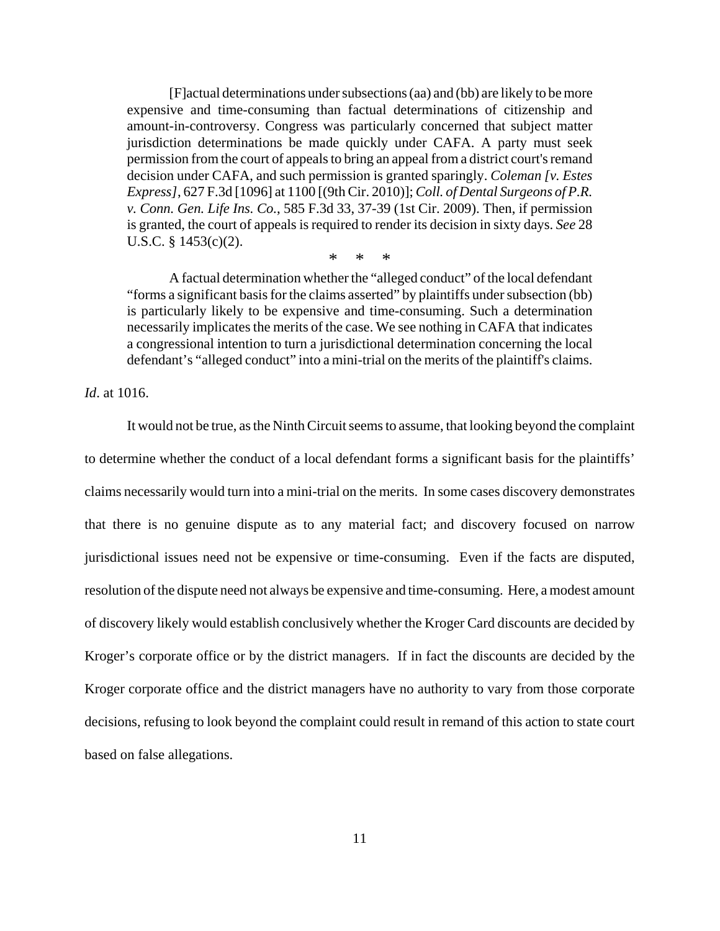[F]actual determinations under subsections (aa) and (bb) are likely to be more expensive and time-consuming than factual determinations of citizenship and amount-in-controversy. Congress was particularly concerned that subject matter jurisdiction determinations be made quickly under CAFA. A party must seek permission from the court of appeals to bring an appeal from a district court's remand decision under CAFA, and such permission is granted sparingly. *Coleman [v. Estes Express]*, 627 F.3d [1096] at 1100 [(9th Cir. 2010)]; *Coll. of Dental Surgeons of P.R. v. Conn. Gen. Life Ins. Co.*, 585 F.3d 33, 37-39 (1st Cir. 2009). Then, if permission is granted, the court of appeals is required to render its decision in sixty days. *See* 28 U.S.C. § 1453(c)(2).

\* \* \*

A factual determination whether the "alleged conduct" of the local defendant "forms a significant basis for the claims asserted" by plaintiffs under subsection (bb) is particularly likely to be expensive and time-consuming. Such a determination necessarily implicates the merits of the case. We see nothing in CAFA that indicates a congressional intention to turn a jurisdictional determination concerning the local defendant's "alleged conduct" into a mini-trial on the merits of the plaintiff's claims.

*Id*. at 1016.

It would not be true, as the Ninth Circuit seems to assume, that looking beyond the complaint to determine whether the conduct of a local defendant forms a significant basis for the plaintiffs' claims necessarily would turn into a mini-trial on the merits. In some cases discovery demonstrates that there is no genuine dispute as to any material fact; and discovery focused on narrow jurisdictional issues need not be expensive or time-consuming. Even if the facts are disputed, resolution of the dispute need not always be expensive and time-consuming. Here, a modest amount of discovery likely would establish conclusively whether the Kroger Card discounts are decided by Kroger's corporate office or by the district managers. If in fact the discounts are decided by the Kroger corporate office and the district managers have no authority to vary from those corporate decisions, refusing to look beyond the complaint could result in remand of this action to state court based on false allegations.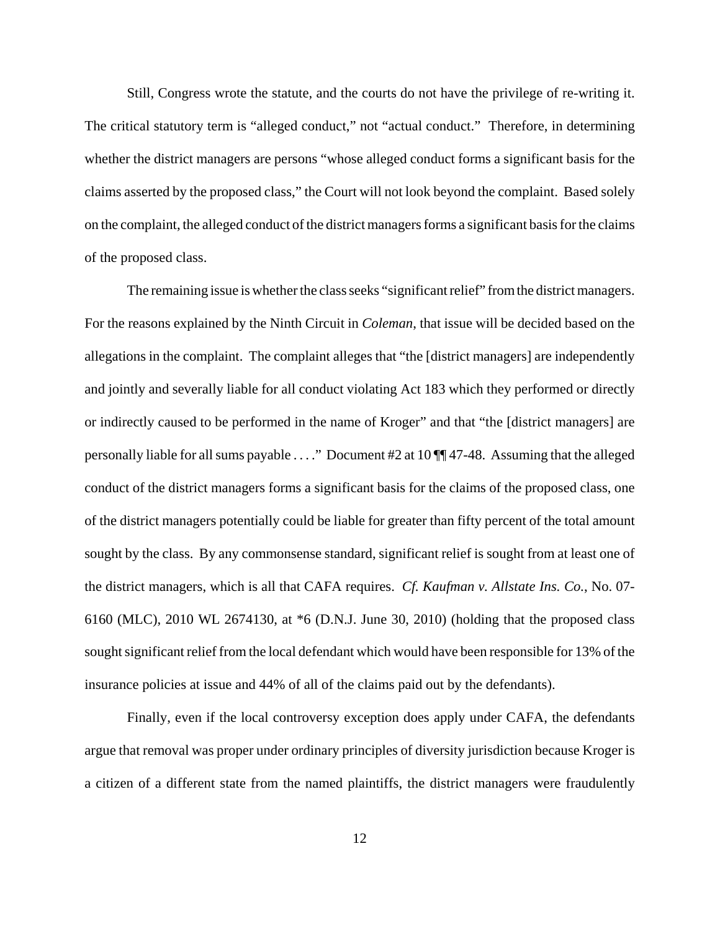Still, Congress wrote the statute, and the courts do not have the privilege of re-writing it. The critical statutory term is "alleged conduct," not "actual conduct." Therefore, in determining whether the district managers are persons "whose alleged conduct forms a significant basis for the claims asserted by the proposed class," the Court will not look beyond the complaint. Based solely on the complaint, the alleged conduct of the district managers forms a significant basis for the claims of the proposed class.

The remaining issue is whether the class seeks "significant relief" from the district managers. For the reasons explained by the Ninth Circuit in *Coleman*, that issue will be decided based on the allegations in the complaint. The complaint alleges that "the [district managers] are independently and jointly and severally liable for all conduct violating Act 183 which they performed or directly or indirectly caused to be performed in the name of Kroger" and that "the [district managers] are personally liable for all sums payable . . . ." Document #2 at 10 ¶¶ 47-48. Assuming that the alleged conduct of the district managers forms a significant basis for the claims of the proposed class, one of the district managers potentially could be liable for greater than fifty percent of the total amount sought by the class. By any commonsense standard, significant relief is sought from at least one of the district managers, which is all that CAFA requires. *Cf. Kaufman v. Allstate Ins. Co.*, No. 07- 6160 (MLC), 2010 WL 2674130, at \*6 (D.N.J. June 30, 2010) (holding that the proposed class sought significant relief from the local defendant which would have been responsible for 13% of the insurance policies at issue and 44% of all of the claims paid out by the defendants).

Finally, even if the local controversy exception does apply under CAFA, the defendants argue that removal was proper under ordinary principles of diversity jurisdiction because Kroger is a citizen of a different state from the named plaintiffs, the district managers were fraudulently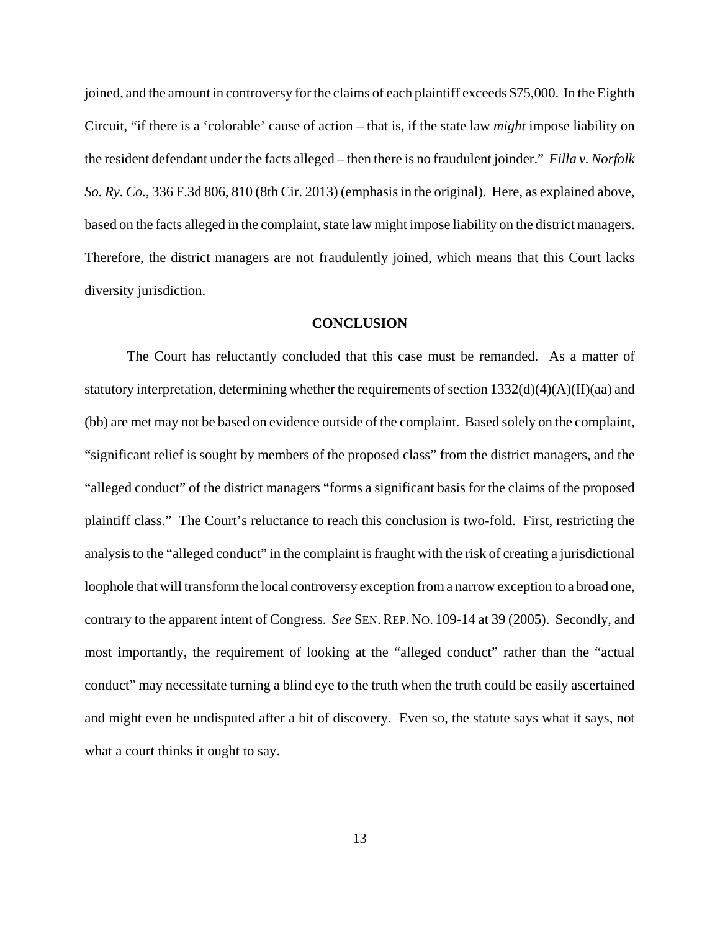joined, and the amount in controversy for the claims of each plaintiff exceeds \$75,000. In the Eighth Circuit, "if there is a 'colorable' cause of action – that is, if the state law *might* impose liability on the resident defendant under the facts alleged – then there is no fraudulent joinder." *Filla v. Norfolk So. Ry. Co.*, 336 F.3d 806, 810 (8th Cir. 2013) (emphasis in the original). Here, as explained above, based on the facts alleged in the complaint, state law might impose liability on the district managers. Therefore, the district managers are not fraudulently joined, which means that this Court lacks diversity jurisdiction.

### **CONCLUSION**

The Court has reluctantly concluded that this case must be remanded. As a matter of statutory interpretation, determining whether the requirements of section  $1332(d)(4)(A)(II)(aa)$  and (bb) are met may not be based on evidence outside of the complaint. Based solely on the complaint, "significant relief is sought by members of the proposed class" from the district managers, and the "alleged conduct" of the district managers "forms a significant basis for the claims of the proposed plaintiff class." The Court's reluctance to reach this conclusion is two-fold. First, restricting the analysis to the "alleged conduct" in the complaint is fraught with the risk of creating a jurisdictional loophole that will transform the local controversy exception from a narrow exception to a broad one, contrary to the apparent intent of Congress. *See* SEN.REP. NO. 109-14 at 39 (2005). Secondly, and most importantly, the requirement of looking at the "alleged conduct" rather than the "actual conduct" may necessitate turning a blind eye to the truth when the truth could be easily ascertained and might even be undisputed after a bit of discovery. Even so, the statute says what it says, not what a court thinks it ought to say.